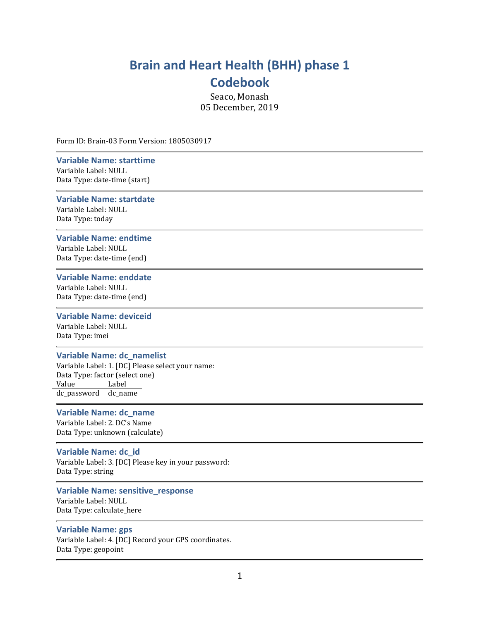# Brain and Heart Health (BHH) phase 1 Codebook

Seaco, Monash 05 December, 2019

Form ID: Brain-03 Form Version: 1805030917

# Variable Name: starttime

Variable Label: NULL Data Type: date-time (start)

### Variable Name: startdate

Variable Label: NULL Data Type: today

# Variable Name: endtime

Variable Label: NULL Data Type: date-time (end)

### Variable Name: enddate

Variable Label: NULL Data Type: date-time (end)

# Variable Name: deviceid

Variable Label: NULL Data Type: imei

#### Variable Name: dc\_namelist

Variable Label: 1. [DC] Please select your name: Data Type: factor (select one) Value Label dc\_password dc\_name

# Variable Name: dc\_name

Variable Label: 2. DC's Name Data Type: unknown (calculate)

### Variable Name: dc\_id

Variable Label: 3. [DC] Please key in your password: Data Type: string

# Variable Name: sensitive\_response

Variable Label: NULL Data Type: calculate\_here

## Variable Name: gps

Variable Label: 4. [DC] Record your GPS coordinates. Data Type: geopoint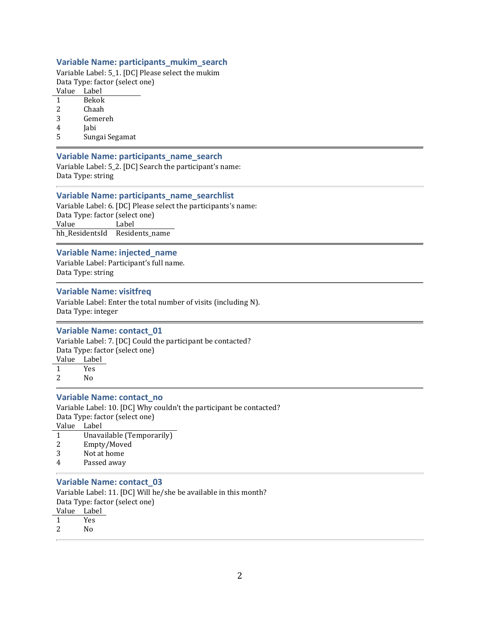# Variable Name: participants\_mukim\_search

Variable Label: 5\_1. [DC] Please select the mukim Data Type: factor (select one)

Value Label

- 1 Bekok
- 2 Chaah
- 3 Gemereh
- 4 Jabi
- 5 Sungai Segamat

# Variable Name: participants\_name\_search

Variable Label: 5\_2. [DC] Search the participant's name: Data Type: string

#### Variable Name: participants\_name\_searchlist

Variable Label: 6. [DC] Please select the participants's name: Data Type: factor (select one) Value Label hh\_ResidentsId Residents\_name

#### Variable Name: injected\_name

Variable Label: Participant's full name. Data Type: string

#### Variable Name: visitfreq

Variable Label: Enter the total number of visits (including N). Data Type: integer

#### Variable Name: contact\_01

Variable Label: 7. [DC] Could the participant be contacted? Data Type: factor (select one) Value Label 1 Yes 2 No

#### Variable Name: contact\_no

Variable Label: 10. [DC] Why couldn't the participant be contacted? Data Type: factor (select one) Value Label

| , vaiuv |                           |
|---------|---------------------------|
|         | Unavailable (Temporarily) |
| 2       | Empty/Moved               |

- 3 Not at home
- 4 Passed away

# Variable Name: contact\_03

Variable Label: 11. [DC] Will he/she be available in this month? Data Type: factor (select one)

Value Label

- 1 Yes
- 2 No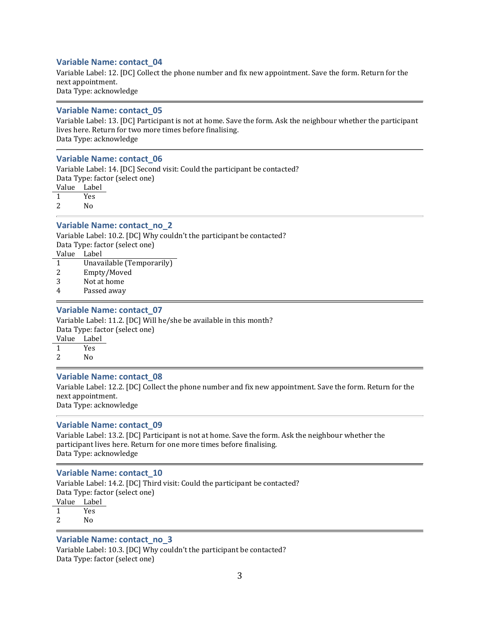# Variable Name: contact\_04

Variable Label: 12. [DC] Collect the phone number and fix new appointment. Save the form. Return for the next appointment. Data Type: acknowledge

#### Variable Name: contact\_05

Variable Label: 13. [DC] Participant is not at home. Save the form. Ask the neighbour whether the participant lives here. Return for two more times before finalising. Data Type: acknowledge

#### Variable Name: contact\_06

Variable Label: 14. [DC] Second visit: Could the participant be contacted? Data Type: factor (select one) Value Label

1 Yes

2 No

# Variable Name: contact\_no\_2

Variable Label: 10.2. [DC] Why couldn't the participant be contacted? Data Type: factor (select one) Value Label 1 Unavailable (Temporarily)

- 2 Empty/Moved
- 3 Not at home
- 4 Passed away

#### Variable Name: contact\_07

Variable Label: 11.2. [DC] Will he/she be available in this month? Data Type: factor (select one) Value Label

1 Yes

2 No

#### Variable Name: contact\_08

Variable Label: 12.2. [DC] Collect the phone number and fix new appointment. Save the form. Return for the next appointment. Data Type: acknowledge

#### Variable Name: contact\_09

Variable Label: 13.2. [DC] Participant is not at home. Save the form. Ask the neighbour whether the participant lives here. Return for one more times before finalising. Data Type: acknowledge

#### Variable Name: contact\_10

Variable Label: 14.2. [DC] Third visit: Could the participant be contacted? Data Type: factor (select one) Value Label 1 Yes

2 No

#### Variable Name: contact\_no\_3

Variable Label: 10.3. [DC] Why couldn't the participant be contacted? Data Type: factor (select one)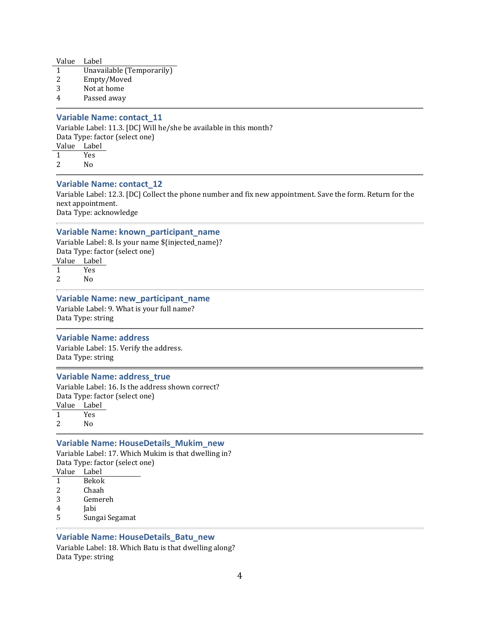| Value Label |                           |
|-------------|---------------------------|
|             | Unavailable (Temporarily) |
| -2          | Empty/Moved               |

- 3 Not at home
- 4 Passed away

# Variable Name: contact\_11

Variable Label: 11.3. [DC] Will he/she be available in this month? Data Type: factor (select one) Value Label 1 Yes

2 No

# Variable Name: contact\_12

Variable Label: 12.3. [DC] Collect the phone number and fix new appointment. Save the form. Return for the next appointment. Data Type: acknowledge

# Variable Name: known\_participant\_name

Variable Label: 8. Is your name \${injected\_name}? Data Type: factor (select one)

Value Label 1 Yes 2 No

#### Variable Name: new\_participant\_name

Variable Label: 9. What is your full name? Data Type: string

#### Variable Name: address

Variable Label: 15. Verify the address. Data Type: string

# Variable Name: address\_true

Variable Label: 16. Is the address shown correct? Data Type: factor (select one) Value Label

1 Yes 2 No

#### Variable Name: HouseDetails\_Mukim\_new

Variable Label: 17. Which Mukim is that dwelling in? Data Type: factor (select one)

- Value Label 1 Bekok
- 2 Chaah
- 3 Gemereh
- 4 Jabi
- 5 Sungai Segamat

# Variable Name: HouseDetails\_Batu\_new

Variable Label: 18. Which Batu is that dwelling along? Data Type: string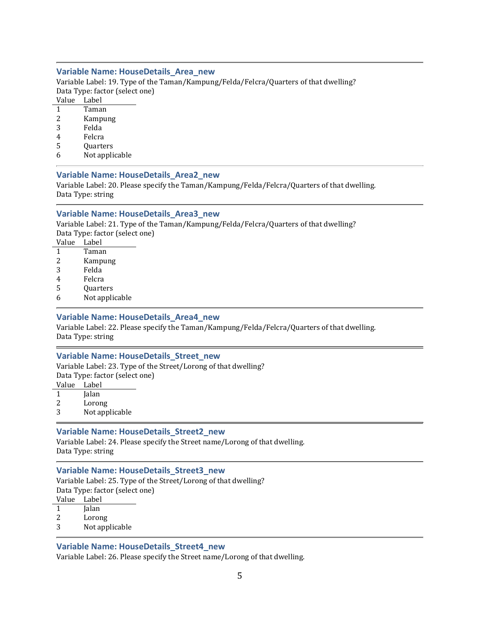# Variable Name: HouseDetails\_Area\_new

Variable Label: 19. Type of the Taman/Kampung/Felda/Felcra/Quarters of that dwelling? Data Type: factor (select one)

Value Label

- 1 Taman
- 2 Kampung
- 3 Felda
- 4 Felcra
- 5 Quarters
- 6 Not applicable

# Variable Name: HouseDetails\_Area2\_new

Variable Label: 20. Please specify the Taman/Kampung/Felda/Felcra/Quarters of that dwelling. Data Type: string

# Variable Name: HouseDetails\_Area3\_new

Variable Label: 21. Type of the Taman/Kampung/Felda/Felcra/Quarters of that dwelling? Data Type: factor (select one)

Value Label

- 1 Taman
- 2 Kampung 3 Felda
- 
- 4 Felcra
- 5 Quarters
- 6 Not applicable

# Variable Name: HouseDetails\_Area4\_new

Variable Label: 22. Please specify the Taman/Kampung/Felda/Felcra/Quarters of that dwelling. Data Type: string

#### Variable Name: HouseDetails\_Street\_new

Variable Label: 23. Type of the Street/Lorong of that dwelling? Data Type: factor (select one)

Value Label

1 Jalan

2 Lorong

3 Not applicable

#### Variable Name: HouseDetails\_Street2\_new

Variable Label: 24. Please specify the Street name/Lorong of that dwelling. Data Type: string

#### Variable Name: HouseDetails\_Street3\_new

Variable Label: 25. Type of the Street/Lorong of that dwelling? Data Type: factor (select one)

Value Label

- 1 Jalan
- 2 Lorong
- 3 Not applicable

# Variable Name: HouseDetails\_Street4\_new

Variable Label: 26. Please specify the Street name/Lorong of that dwelling.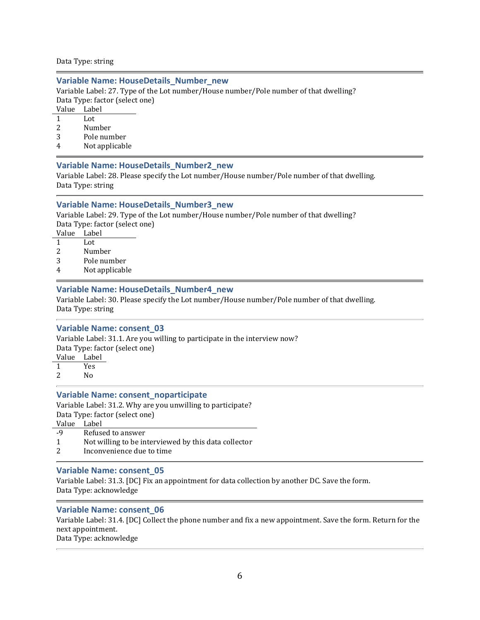Data Type: string

# Variable Name: HouseDetails\_Number\_new

Variable Label: 27. Type of the Lot number/House number/Pole number of that dwelling? Data Type: factor (select one)

- Value Label
- 1 Lot
- 2 Number
- 3 Pole number
- 4 Not applicable

# Variable Name: HouseDetails\_Number2\_new

Variable Label: 28. Please specify the Lot number/House number/Pole number of that dwelling. Data Type: string

# Variable Name: HouseDetails\_Number3\_new

Variable Label: 29. Type of the Lot number/House number/Pole number of that dwelling? Data Type: factor (select one)

- Value Label
- 1 Lot
- 2 Number
- 3 Pole number
- 4 Not applicable

# Variable Name: HouseDetails\_Number4\_new

Variable Label: 30. Please specify the Lot number/House number/Pole number of that dwelling. Data Type: string

#### Variable Name: consent\_03

Variable Label: 31.1. Are you willing to participate in the interview now?

Data Type: factor (select one)

- Value Label
- 1 Yes
- 2 No

#### Variable Name: consent\_noparticipate

Variable Label: 31.2. Why are you unwilling to participate? Data Type: factor (select one)

- Value Label
- -9 Refused to answer
- 1 Not willing to be interviewed by this data collector
- 2 Inconvenience due to time

#### Variable Name: consent\_05

Variable Label: 31.3. [DC] Fix an appointment for data collection by another DC. Save the form. Data Type: acknowledge

# Variable Name: consent\_06

Variable Label: 31.4. [DC] Collect the phone number and fix a new appointment. Save the form. Return for the next appointment. Data Type: acknowledge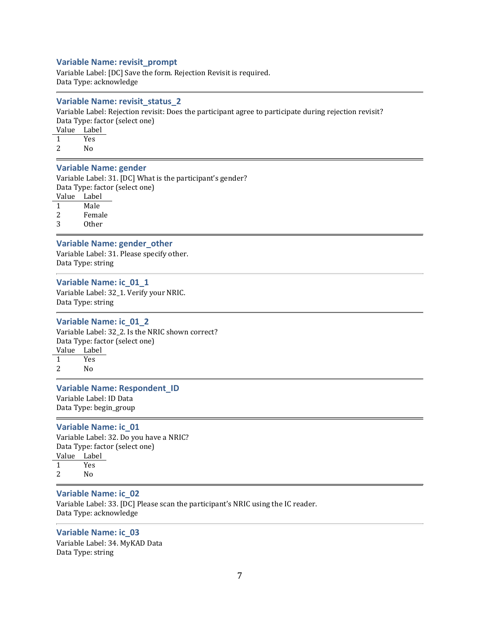# Variable Name: revisit\_prompt

Variable Label: [DC] Save the form. Rejection Revisit is required. Data Type: acknowledge

#### Variable Name: revisit\_status\_2

Variable Label: Rejection revisit: Does the participant agree to participate during rejection revisit? Data Type: factor (select one)

Value Label 1 Yes

2 No

# Variable Name: gender

Variable Label: 31. [DC] What is the participant's gender? Data Type: factor (select one) Value Label

1 Male

2 Female

3 Other

# Variable Name: gender\_other

Variable Label: 31. Please specify other. Data Type: string

# Variable Name: ic\_01\_1

Variable Label: 32\_1. Verify your NRIC. Data Type: string

#### Variable Name: ic\_01\_2

Variable Label: 32\_2. Is the NRIC shown correct? Data Type: factor (select one) Value Label

1 Yes 2  $N_0$ 

#### Variable Name: Respondent\_ID

Variable Label: ID Data Data Type: begin\_group

#### Variable Name: ic\_01

Variable Label: 32. Do you have a NRIC? Data Type: factor (select one) Value Label 1 Yes

2 No

#### Variable Name: ic\_02

Variable Label: 33. [DC] Please scan the participant's NRIC using the IC reader. Data Type: acknowledge

### Variable Name: ic\_03 Variable Label: 34. MyKAD Data

Data Type: string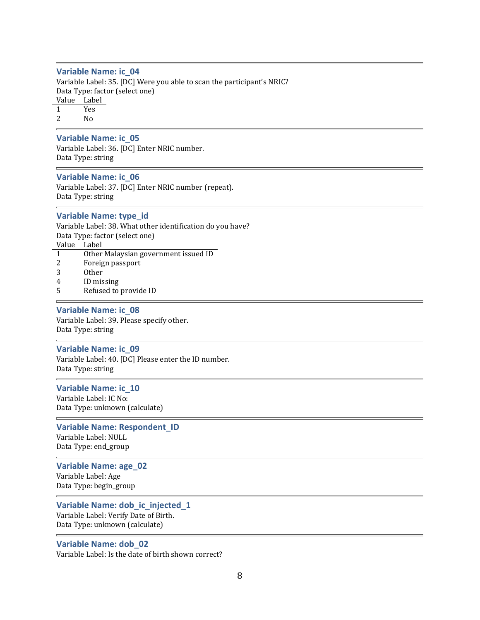#### Variable Name: ic\_04

Variable Label: 35. [DC] Were you able to scan the participant's NRIC? Data Type: factor (select one) Value Label 1 Yes 2  $N_0$ 

#### Variable Name: ic\_05

Variable Label: 36. [DC] Enter NRIC number. Data Type: string

#### Variable Name: ic\_06

Variable Label: 37. [DC] Enter NRIC number (repeat). Data Type: string

#### Variable Name: type\_id

Variable Label: 38. What other identification do you have? Data Type: factor (select one) Value Label

- 1 Other Malaysian government issued ID
- 2 Foreign passport
- 3 Other
- 4 ID missing
- 5 Refused to provide ID

#### Variable Name: ic\_08

Variable Label: 39. Please specify other. Data Type: string

#### Variable Name: ic\_09

Variable Label: 40. [DC] Please enter the ID number. Data Type: string

#### Variable Name: ic\_10

Variable Label: IC No: Data Type: unknown (calculate)

#### Variable Name: Respondent\_ID

Variable Label: NULL Data Type: end\_group

# Variable Name: age\_02

Variable Label: Age Data Type: begin\_group

#### Variable Name: dob\_ic\_injected\_1

Variable Label: Verify Date of Birth. Data Type: unknown (calculate)

#### Variable Name: dob\_02

Variable Label: Is the date of birth shown correct?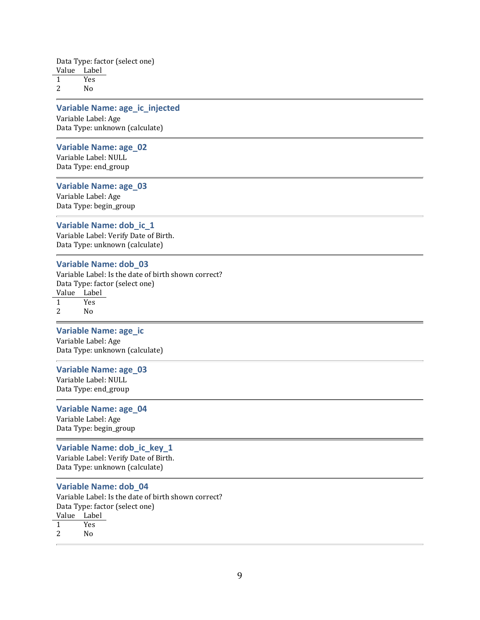Data Type: factor (select one) Value Label 1 Yes

2 No

# Variable Name: age\_ic\_injected

Variable Label: Age Data Type: unknown (calculate)

# Variable Name: age\_02

Variable Label: NULL Data Type: end\_group

#### Variable Name: age\_03

Variable Label: Age Data Type: begin\_group

#### Variable Name: dob\_ic\_1

Variable Label: Verify Date of Birth. Data Type: unknown (calculate)

#### Variable Name: dob\_03

Variable Label: Is the date of birth shown correct? Data Type: factor (select one) Value Label 1 Yes 2 No

#### Variable Name: age\_ic

Variable Label: Age Data Type: unknown (calculate)

#### Variable Name: age\_03

Variable Label: NULL Data Type: end\_group

# Variable Name: age\_04

Variable Label: Age Data Type: begin\_group

#### Variable Name: dob\_ic\_key\_1

Variable Label: Verify Date of Birth. Data Type: unknown (calculate)

#### Variable Name: dob\_04

Variable Label: Is the date of birth shown correct? Data Type: factor (select one) Value Label 1 Yes 2 No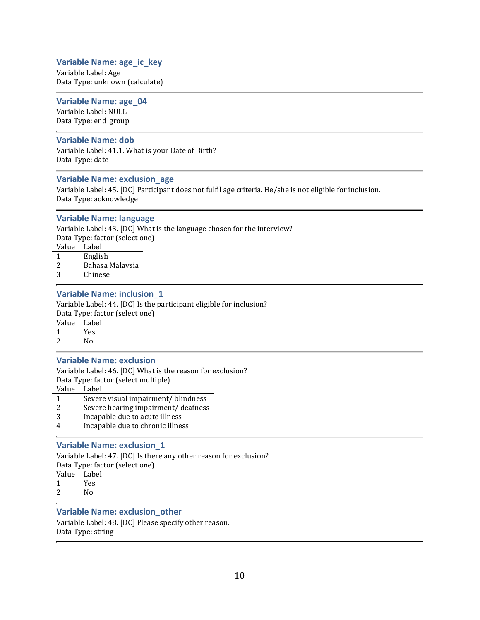# Variable Name: age\_ic\_key

Variable Label: Age Data Type: unknown (calculate)

# Variable Name: age\_04

Variable Label: NULL Data Type: end\_group

# Variable Name: dob

Variable Label: 41.1. What is your Date of Birth? Data Type: date

# Variable Name: exclusion\_age

Variable Label: 45. [DC] Participant does not fulfil age criteria. He/she is not eligible for inclusion. Data Type: acknowledge

# Variable Name: language

Variable Label: 43. [DC] What is the language chosen for the interview? Data Type: factor (select one)

- Value Label
- 1 English
- 2 Bahasa Malaysia
- 3 Chinese

# Variable Name: inclusion\_1

Variable Label: 44. [DC] Is the participant eligible for inclusion? Data Type: factor (select one) Value Label

1 Yes 2 No

#### Variable Name: exclusion

Variable Label: 46. [DC] What is the reason for exclusion? Data Type: factor (select multiple)

Value Label

- 1 Severe visual impairment/ blindness
- 2 Severe hearing impairment/ deafness
- 3 Incapable due to acute illness
- 4 Incapable due to chronic illness

# Variable Name: exclusion\_1

Variable Label: 47. [DC] Is there any other reason for exclusion? Data Type: factor (select one) Value Label 1 Yes

2 No

# Variable Name: exclusion\_other

Variable Label: 48. [DC] Please specify other reason. Data Type: string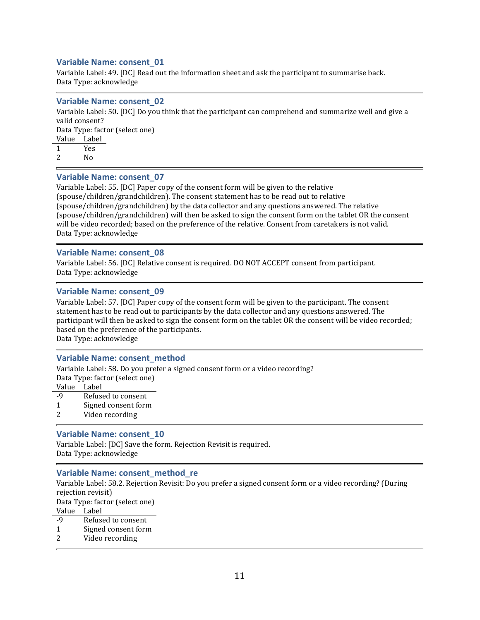Variable Label: 49. [DC] Read out the information sheet and ask the participant to summarise back. Data Type: acknowledge

#### Variable Name: consent\_02

Variable Label: 50. [DC] Do you think that the participant can comprehend and summarize well and give a valid consent? Data Type: factor (select one) Value Label 1 Yes 2 No

# Variable Name: consent\_07

Variable Label: 55. [DC] Paper copy of the consent form will be given to the relative (spouse/children/grandchildren). The consent statement has to be read out to relative (spouse/children/grandchildren) by the data collector and any questions answered. The relative (spouse/children/grandchildren) will then be asked to sign the consent form on the tablet OR the consent will be video recorded; based on the preference of the relative. Consent from caretakers is not valid. Data Type: acknowledge

#### Variable Name: consent\_08

Variable Label: 56. [DC] Relative consent is required. DO NOT ACCEPT consent from participant. Data Type: acknowledge

#### Variable Name: consent\_09

Variable Label: 57. [DC] Paper copy of the consent form will be given to the participant. The consent statement has to be read out to participants by the data collector and any questions answered. The participant will then be asked to sign the consent form on the tablet OR the consent will be video recorded; based on the preference of the participants.

Data Type: acknowledge

#### Variable Name: consent\_method

Variable Label: 58. Do you prefer a signed consent form or a video recording? Data Type: factor (select one)

Value Label

- -9 Refused to consent
- 1 Signed consent form
- 2 Video recording

#### Variable Name: consent\_10

Variable Label: [DC] Save the form. Rejection Revisit is required. Data Type: acknowledge

#### Variable Name: consent\_method\_re

Variable Label: 58.2. Rejection Revisit: Do you prefer a signed consent form or a video recording? (During rejection revisit) Data Type: factor (select one) Value Label -9 Refused to consent

- 1 Signed consent form
- 2 Video recording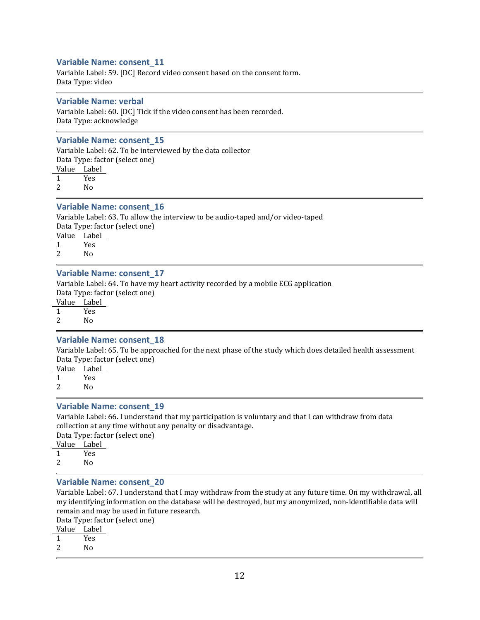Variable Label: 59. [DC] Record video consent based on the consent form. Data Type: video

#### Variable Name: verbal

Variable Label: 60. [DC] Tick if the video consent has been recorded. Data Type: acknowledge

#### Variable Name: consent\_15

Variable Label: 62. To be interviewed by the data collector Data Type: factor (select one) Value Label 1 Yes 2 No

# Variable Name: consent\_16

Variable Label: 63. To allow the interview to be audio-taped and/or video-taped Data Type: factor (select one)

Value Label

1 Yes 2 No

#### Variable Name: consent\_17

Variable Label: 64. To have my heart activity recorded by a mobile ECG application Data Type: factor (select one)

Value Label

1 Yes

2 No

#### Variable Name: consent\_18

Variable Label: 65. To be approached for the next phase of the study which does detailed health assessment Data Type: factor (select one)

Value Label

1 Yes

2 No

#### Variable Name: consent\_19

Variable Label: 66. I understand that my participation is voluntary and that I can withdraw from data collection at any time without any penalty or disadvantage.

Data Type: factor (select one) Value Label 1 Yes

2 No

# Variable Name: consent\_20

Variable Label: 67. I understand that I may withdraw from the study at any future time. On my withdrawal, all my identifying information on the database will be destroyed, but my anonymized, non-identifiable data will remain and may be used in future research.

Data Type: factor (select one)

Value Label 1 Yes

2 No

12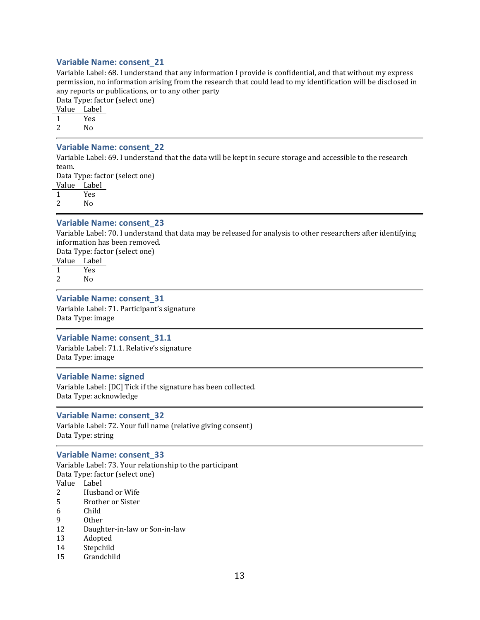Variable Label: 68. I understand that any information I provide is confidential, and that without my express permission, no information arising from the research that could lead to my identification will be disclosed in any reports or publications, or to any other party

Data Type: factor (select one)

Value Label

- 1 Yes
- 2 No

### Variable Name: consent\_22

Variable Label: 69. I understand that the data will be kept in secure storage and accessible to the research team.

Data Type: factor (select one)

Value Label

1 Yes

2 No

#### Variable Name: consent\_23

Variable Label: 70. I understand that data may be released for analysis to other researchers after identifying information has been removed.

Data Type: factor (select one)

Value Label 1 Yes

2 No

#### Variable Name: consent\_31

Variable Label: 71. Participant's signature Data Type: image

#### Variable Name: consent\_31.1

Variable Label: 71.1. Relative's signature Data Type: image

#### Variable Name: signed

Variable Label: [DC] Tick if the signature has been collected. Data Type: acknowledge

#### Variable Name: consent\_32

Variable Label: 72. Your full name (relative giving consent) Data Type: string

#### Variable Name: consent\_33

Variable Label: 73. Your relationship to the participant Data Type: factor (select one) Value Label 2 Husband or Wife

- 
- 5 Brother or Sister
- 6 Child
- 9 Other
- 12 Daughter-in-law or Son-in-law
- 13 Adopted
- 14 Stepchild
- 15 Grandchild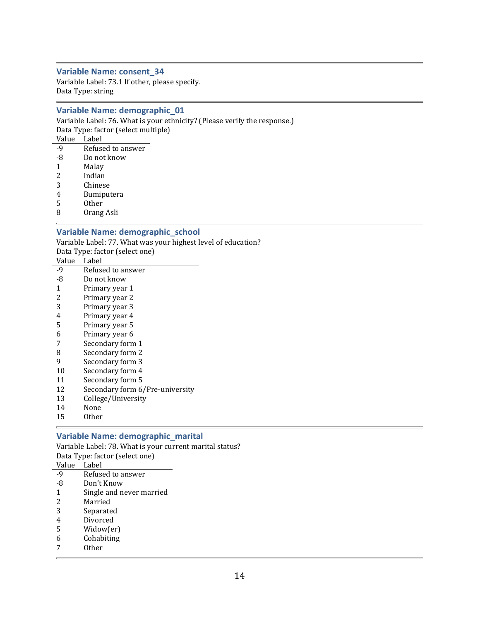Variable Label: 73.1 If other, please specify. Data Type: string

# Variable Name: demographic\_01

Variable Label: 76. What is your ethnicity? (Please verify the response.) Data Type: factor (select multiple) Value Label  $\overline{a}$ 

| -9 | Refused to answer |
|----|-------------------|
| -8 | Do not know       |
| 1  | Malay             |
| 2  | Indian            |
| 3  | Chinese           |
| 4  | Bumiputera        |
| 5  | <b>Other</b>      |
| ~  |                   |

8 Orang Asli

# Variable Name: demographic\_school

Variable Label: 77. What was your highest level of education? Data Type: factor (select one)

| Value          | Label                           |
|----------------|---------------------------------|
| $-9$           | Refused to answer               |
| -8             | Do not know                     |
| 1              | Primary year 1                  |
| 2              | Primary year 2                  |
| 3              | Primary year 3                  |
| $\overline{4}$ | Primary year 4                  |
| 5              | Primary year 5                  |
| 6              | Primary year 6                  |
| 7              | Secondary form 1                |
| 8              | Secondary form 2                |
| 9              | Secondary form 3                |
| 10             | Secondary form 4                |
| 11             | Secondary form 5                |
| 12             | Secondary form 6/Pre-university |
| 13             | College/University              |

- 14 None
- 15 Other

# Variable Name: demographic\_marital

Variable Label: 78. What is your current marital status? Data Type: factor (select one)  $V_2$ lue

| vaiue          | <u>тарет</u>             |
|----------------|--------------------------|
| $-9$           | Refused to answer        |
| -8             | Don't Know               |
| $\mathbf{1}$   | Single and never married |
| 2              | Married                  |
| 3              | Separated                |
| $\overline{4}$ | Divorced                 |
| 5              | Widow(er)                |
| 6              | Cohabiting               |
|                | Other                    |
|                |                          |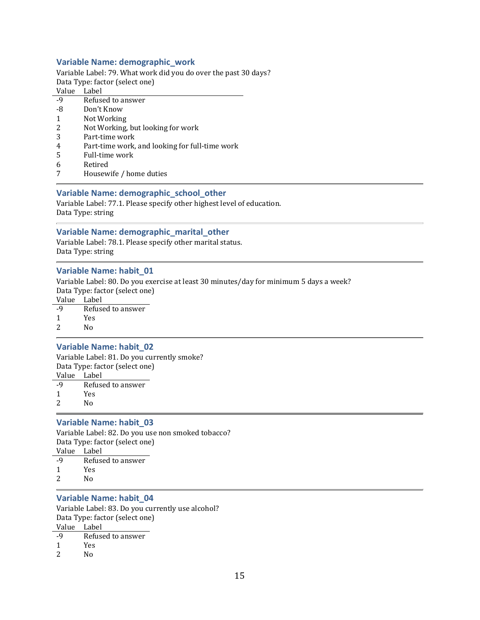# Variable Name: demographic\_work

Variable Label: 79. What work did you do over the past 30 days? Data Type: factor (select one)

# Value Label

- -9 Refused to answer
- -8 Don't Know
- 1 Not Working
- 2 Not Working, but looking for work
- 3 Part-time work
- 4 Part-time work, and looking for full-time work
- 5 Full-time work
- 6 Retired
- 7 Housewife / home duties

# Variable Name: demographic\_school\_other

Variable Label: 77.1. Please specify other highest level of education. Data Type: string

# Variable Name: demographic\_marital\_other

Variable Label: 78.1. Please specify other marital status. Data Type: string

# Variable Name: habit\_01

Variable Label: 80. Do you exercise at least 30 minutes/day for minimum 5 days a week? Data Type: factor (select one) Value Label

- -9 Refused to answer
- 1 Yes
- 2 No

# Variable Name: habit\_02

Variable Label: 81. Do you currently smoke? Data Type: factor (select one) Value Label

- -9 Refused to answer
- 1 Yes
- 2 No

# Variable Name: habit\_03

Variable Label: 82. Do you use non smoked tobacco? Data Type: factor (select one) Value Label

- -9 Refused to answer
- 1 Yes
- 2 No

# Variable Name: habit\_04

Variable Label: 83. Do you currently use alcohol? Data Type: factor (select one) Value Label

| -9 | Refused to answer |
|----|-------------------|
|    |                   |

- 1 Yes
- 2 No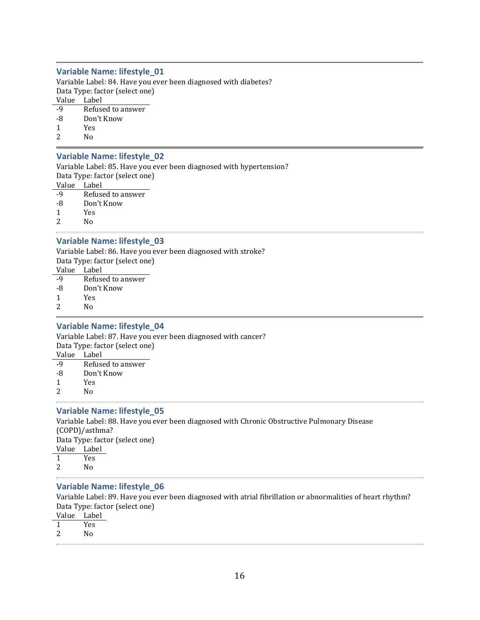# Variable Name: lifestyle\_01

Variable Label: 84. Have you ever been diagnosed with diabetes? Data Type: factor (select one) Value Label

- -9 Refused to answer
- -8 Don't Know
- 1 Yes
- 2 No

#### Variable Name: lifestyle\_02

Variable Label: 85. Have you ever been diagnosed with hypertension? Data Type: factor (select one)

Value Label

|  | -9 | Refused to answer |  |
|--|----|-------------------|--|
|--|----|-------------------|--|

- -8 Don't Know
- 1 Yes
- 2 No

# Variable Name: lifestyle\_03

Variable Label: 86. Have you ever been diagnosed with stroke? Data Type: factor (select one) Value Label

- -9 Refused to answer
- -8 Don't Know
- 1 Yes
- 2 No

#### Variable Name: lifestyle\_04

Variable Label: 87. Have you ever been diagnosed with cancer? Data Type: factor (select one) Value Label -9 Refused to answer -8 Don't Know

- 1 Yes 2 No
- 

#### Variable Name: lifestyle\_05

Variable Label: 88. Have you ever been diagnosed with Chronic Obstructive Pulmonary Disease (COPD)/asthma? Data Type: factor (select one) Value Label 1 Yes 2 No

#### Variable Name: lifestyle\_06

Variable Label: 89. Have you ever been diagnosed with atrial fibrillation or abnormalities of heart rhythm? Data Type: factor (select one)

- Value Label
- 1 Yes
- 2 No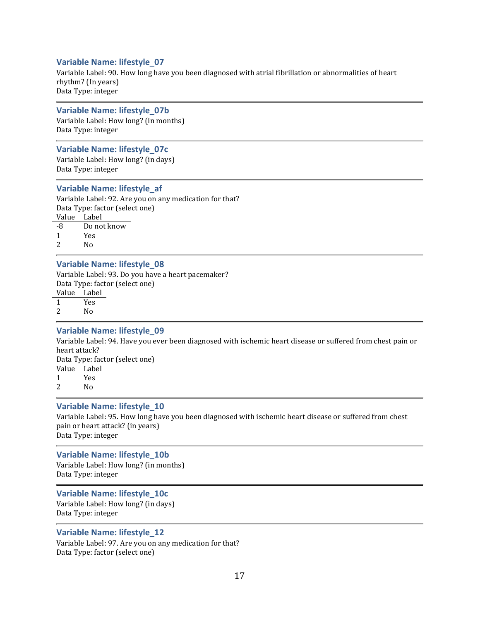# Variable Name: lifestyle\_07

Variable Label: 90. How long have you been diagnosed with atrial fibrillation or abnormalities of heart rhythm? (In years) Data Type: integer

#### Variable Name: lifestyle\_07b

Variable Label: How long? (in months) Data Type: integer

#### Variable Name: lifestyle\_07c

Variable Label: How long? (in days) Data Type: integer

#### Variable Name: lifestyle\_af

Variable Label: 92. Are you on any medication for that? Data Type: factor (select one) Value Label

-8 Do not know 1 Yes

2 No

#### Variable Name: lifestyle\_08

Variable Label: 93. Do you have a heart pacemaker? Data Type: factor (select one) Value Label 1 Yes

2 No

#### Variable Name: lifestyle\_09

Variable Label: 94. Have you ever been diagnosed with ischemic heart disease or suffered from chest pain or heart attack? Data Type: factor (select one)

Value Label

1 Yes

2 No

#### Variable Name: lifestyle\_10

Variable Label: 95. How long have you been diagnosed with ischemic heart disease or suffered from chest pain or heart attack? (in years) Data Type: integer

#### Variable Name: lifestyle\_10b

Variable Label: How long? (in months) Data Type: integer

#### Variable Name: lifestyle\_10c

Variable Label: How long? (in days) Data Type: integer

# Variable Name: lifestyle\_12

Variable Label: 97. Are you on any medication for that? Data Type: factor (select one)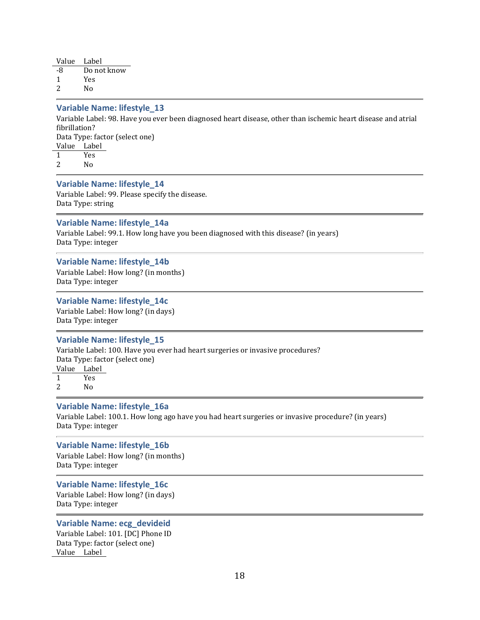| Value Label |             |
|-------------|-------------|
| -8          | Do not know |
| 1           | Yes         |
| 2           | N٥          |

# Variable Name: lifestyle\_13

Variable Label: 98. Have you ever been diagnosed heart disease, other than ischemic heart disease and atrial fibrillation?

Data Type: factor (select one) Value Label

1 Yes

2 No

#### Variable Name: lifestyle\_14

Variable Label: 99. Please specify the disease. Data Type: string

#### Variable Name: lifestyle\_14a

Variable Label: 99.1. How long have you been diagnosed with this disease? (in years) Data Type: integer

#### Variable Name: lifestyle\_14b

Variable Label: How long? (in months) Data Type: integer

#### Variable Name: lifestyle\_14c

Variable Label: How long? (in days) Data Type: integer

# Variable Name: lifestyle\_15

Variable Label: 100. Have you ever had heart surgeries or invasive procedures? Data Type: factor (select one) Value Label

1 Yes

2 No

#### Variable Name: lifestyle\_16a

Variable Label: 100.1. How long ago have you had heart surgeries or invasive procedure? (in years) Data Type: integer

# Variable Name: lifestyle\_16b

Variable Label: How long? (in months) Data Type: integer

Variable Name: lifestyle\_16c Variable Label: How long? (in days) Data Type: integer

#### Variable Name: ecg\_devideid

Variable Label: 101. [DC] Phone ID Data Type: factor (select one) Value Label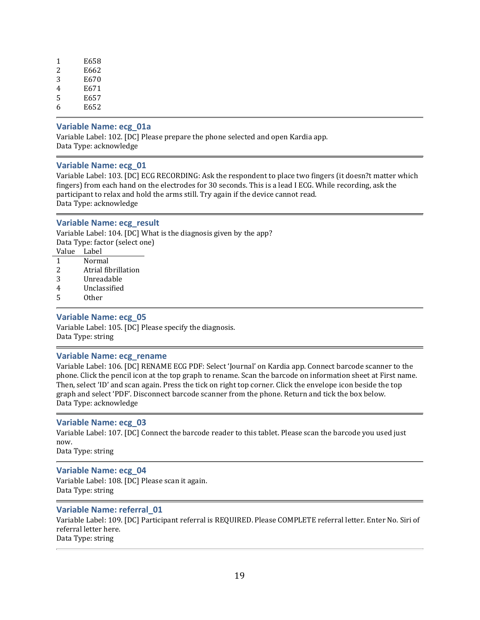| 1 | E658 |
|---|------|
| 2 | E662 |
| 3 | E670 |
| 4 | E671 |
| 5 | E657 |
| 6 | E652 |

#### Variable Name: ecg\_01a

Variable Label: 102. [DC] Please prepare the phone selected and open Kardia app. Data Type: acknowledge

#### Variable Name: ecg\_01

Variable Label: 103. [DC] ECG RECORDING: Ask the respondent to place two fingers (it doesn?t matter which fingers) from each hand on the electrodes for 30 seconds. This is a lead I ECG. While recording, ask the participant to relax and hold the arms still. Try again if the device cannot read. Data Type: acknowledge

#### Variable Name: ecg\_result

Variable Label: 104. [DC] What is the diagnosis given by the app? Data Type: factor (select one) Value Label 1 Normal

- 2 Atrial fibrillation
- 3 Unreadable
- 4 Unclassified
- 5 Other

#### Variable Name: ecg\_05

Variable Label: 105. [DC] Please specify the diagnosis. Data Type: string

#### Variable Name: ecg\_rename

Variable Label: 106. [DC] RENAME ECG PDF: Select 'Journal' on Kardia app. Connect barcode scanner to the phone. Click the pencil icon at the top graph to rename. Scan the barcode on information sheet at First name. Then, select 'ID' and scan again. Press the tick on right top corner. Click the envelope icon beside the top graph and select 'PDF'. Disconnect barcode scanner from the phone. Return and tick the box below. Data Type: acknowledge

#### Variable Name: ecg\_03

Variable Label: 107. [DC] Connect the barcode reader to this tablet. Please scan the barcode you used just now.

Data Type: string

#### Variable Name: ecg\_04

Variable Label: 108. [DC] Please scan it again. Data Type: string

#### Variable Name: referral\_01

Variable Label: 109. [DC] Participant referral is REQUIRED. Please COMPLETE referral letter. Enter No. Siri of referral letter here. Data Type: string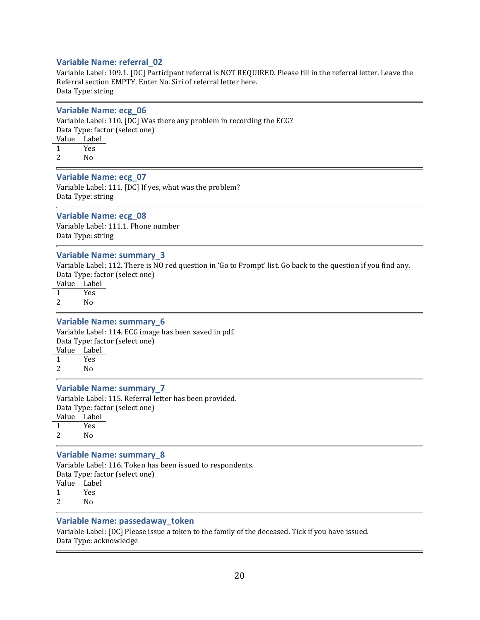# Variable Name: referral\_02

Variable Label: 109.1. [DC] Participant referral is NOT REQUIRED. Please fill in the referral letter. Leave the Referral section EMPTY. Enter No. Siri of referral letter here. Data Type: string

#### Variable Name: ecg\_06

Variable Label: 110. [DC] Was there any problem in recording the ECG? Data Type: factor (select one) Value Label 1 Yes

2 No

#### Variable Name: ecg\_07

Variable Label: 111. [DC] If yes, what was the problem? Data Type: string

#### Variable Name: ecg\_08

Variable Label: 111.1. Phone number Data Type: string

#### Variable Name: summary\_3

Variable Label: 112. There is NO red question in 'Go to Prompt' list. Go back to the question if you find any. Data Type: factor (select one)

Value Label<br>1 Yes **Yes** 

2 No

#### Variable Name: summary\_6

Variable Label: 114. ECG image has been saved in pdf. Data Type: factor (select one) Value Label

1 Yes 2  $N_0$ 

# Variable Name: summary\_7

Variable Label: 115. Referral letter has been provided. Data Type: factor (select one) Value Label

1 Yes 2 No

#### Variable Name: summary\_8

Variable Label: 116. Token has been issued to respondents. Data Type: factor (select one)

Value Label

1 Yes

2 No

# Variable Name: passedaway\_token

Variable Label: [DC] Please issue a token to the family of the deceased. Tick if you have issued. Data Type: acknowledge